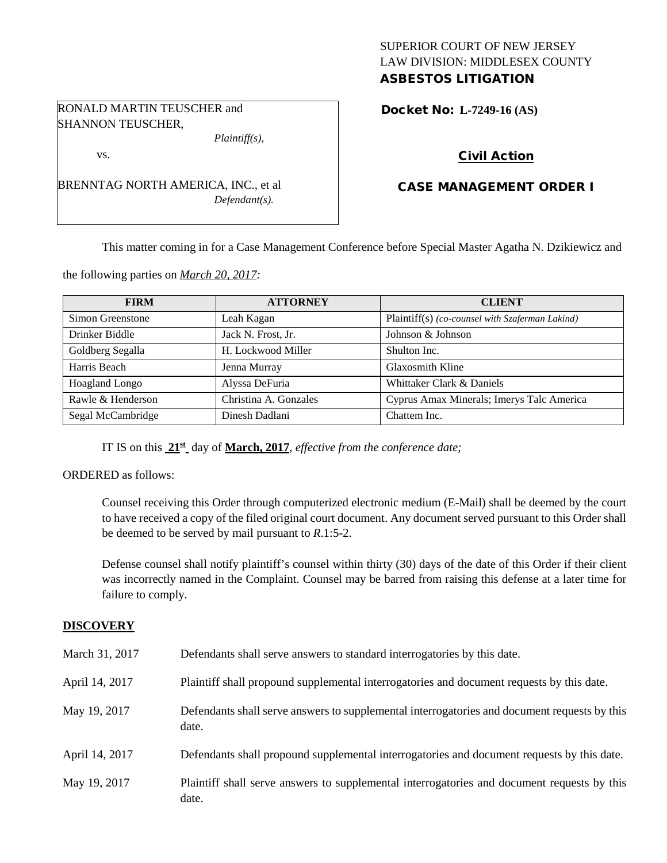## SUPERIOR COURT OF NEW JERSEY LAW DIVISION: MIDDLESEX COUNTY ASBESTOS LITIGATION

Docket No: **L-7249-16 (AS)** 

# Civil Action

# CASE MANAGEMENT ORDER I

This matter coming in for a Case Management Conference before Special Master Agatha N. Dzikiewicz and

the following parties on *March 20, 2017:*

| <b>FIRM</b>           | <b>ATTORNEY</b>       | <b>CLIENT</b>                                   |
|-----------------------|-----------------------|-------------------------------------------------|
| Simon Greenstone      | Leah Kagan            | Plaintiff(s) (co-counsel with Szaferman Lakind) |
| Drinker Biddle        | Jack N. Frost, Jr.    | Johnson & Johnson                               |
| Goldberg Segalla      | H. Lockwood Miller    | Shulton Inc.                                    |
| Harris Beach          | Jenna Murray          | <b>Glaxosmith Kline</b>                         |
| <b>Hoagland Longo</b> | Alyssa DeFuria        | Whittaker Clark & Daniels                       |
| Rawle & Henderson     | Christina A. Gonzales | Cyprus Amax Minerals; Imerys Talc America       |
| Segal McCambridge     | Dinesh Dadlani        | Chattem Inc.                                    |

IT IS on this **21st** day of **March, 2017**, *effective from the conference date;*

ORDERED as follows:

Counsel receiving this Order through computerized electronic medium (E-Mail) shall be deemed by the court to have received a copy of the filed original court document. Any document served pursuant to this Order shall be deemed to be served by mail pursuant to *R*.1:5-2.

Defense counsel shall notify plaintiff's counsel within thirty (30) days of the date of this Order if their client was incorrectly named in the Complaint. Counsel may be barred from raising this defense at a later time for failure to comply.

### **DISCOVERY**

| March 31, 2017 | Defendants shall serve answers to standard interrogatories by this date.                              |
|----------------|-------------------------------------------------------------------------------------------------------|
| April 14, 2017 | Plaintiff shall propound supplemental interrogatories and document requests by this date.             |
| May 19, 2017   | Defendants shall serve answers to supplemental interrogatories and document requests by this<br>date. |
| April 14, 2017 | Defendants shall propound supplemental interrogatories and document requests by this date.            |
| May 19, 2017   | Plaintiff shall serve answers to supplemental interrogatories and document requests by this<br>date.  |

RONALD MARTIN TEUSCHER and SHANNON TEUSCHER,

vs.

BRENNTAG NORTH AMERICA, INC., et al *Defendant(s).*

*Plaintiff(s),*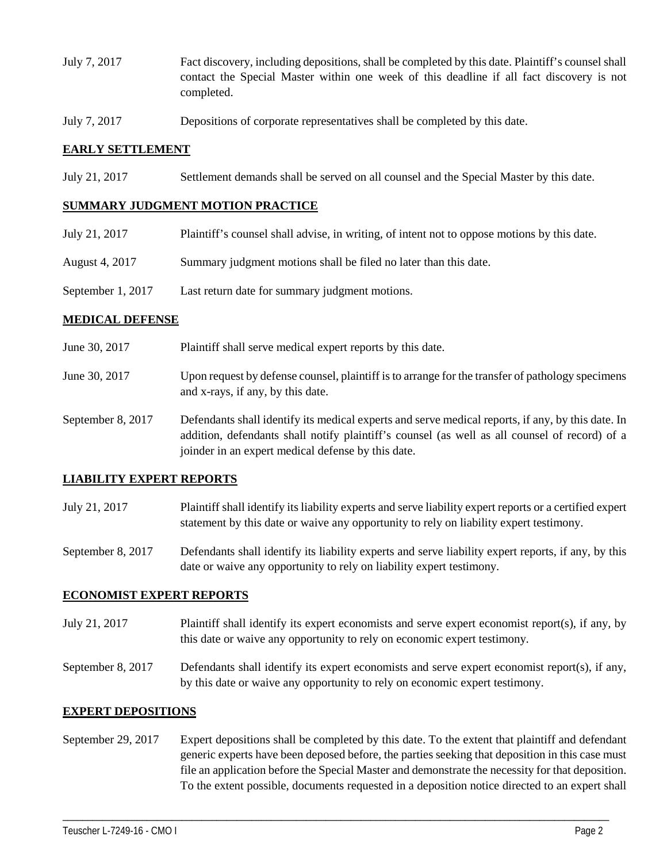- July 7, 2017 Fact discovery, including depositions, shall be completed by this date. Plaintiff's counsel shall contact the Special Master within one week of this deadline if all fact discovery is not completed.
- July 7, 2017 Depositions of corporate representatives shall be completed by this date.

### **EARLY SETTLEMENT**

July 21, 2017 Settlement demands shall be served on all counsel and the Special Master by this date.

### **SUMMARY JUDGMENT MOTION PRACTICE**

- July 21, 2017 Plaintiff's counsel shall advise, in writing, of intent not to oppose motions by this date.
- August 4, 2017 Summary judgment motions shall be filed no later than this date.
- September 1, 2017 Last return date for summary judgment motions.

### **MEDICAL DEFENSE**

- June 30, 2017 Plaintiff shall serve medical expert reports by this date.
- June 30, 2017 Upon request by defense counsel, plaintiff is to arrange for the transfer of pathology specimens and x-rays, if any, by this date.
- September 8, 2017 Defendants shall identify its medical experts and serve medical reports, if any, by this date. In addition, defendants shall notify plaintiff's counsel (as well as all counsel of record) of a joinder in an expert medical defense by this date.

## **LIABILITY EXPERT REPORTS**

July 21, 2017 Plaintiff shall identify its liability experts and serve liability expert reports or a certified expert statement by this date or waive any opportunity to rely on liability expert testimony.

September 8, 2017 Defendants shall identify its liability experts and serve liability expert reports, if any, by this date or waive any opportunity to rely on liability expert testimony.

### **ECONOMIST EXPERT REPORTS**

July 21, 2017 Plaintiff shall identify its expert economists and serve expert economist report(s), if any, by this date or waive any opportunity to rely on economic expert testimony.

September 8, 2017 Defendants shall identify its expert economists and serve expert economist report(s), if any, by this date or waive any opportunity to rely on economic expert testimony.

## **EXPERT DEPOSITIONS**

September 29, 2017 Expert depositions shall be completed by this date. To the extent that plaintiff and defendant generic experts have been deposed before, the parties seeking that deposition in this case must file an application before the Special Master and demonstrate the necessity for that deposition. To the extent possible, documents requested in a deposition notice directed to an expert shall

\_\_\_\_\_\_\_\_\_\_\_\_\_\_\_\_\_\_\_\_\_\_\_\_\_\_\_\_\_\_\_\_\_\_\_\_\_\_\_\_\_\_\_\_\_\_\_\_\_\_\_\_\_\_\_\_\_\_\_\_\_\_\_\_\_\_\_\_\_\_\_\_\_\_\_\_\_\_\_\_\_\_\_\_\_\_\_\_\_\_\_\_\_\_\_\_\_\_\_\_\_\_\_\_\_\_\_\_\_\_